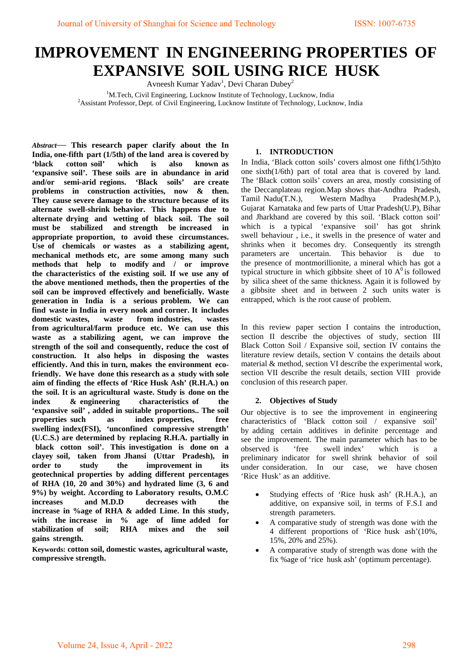# **IMPROVEMENT IN ENGINEERING PROPERTIES OF EXPANSIVE SOIL USING RICE HUSK**

Avneesh Kumar Yadav<sup>1</sup>, Devi Charan Dubey<sup>2</sup>

<sup>1</sup>M.Tech, Civil Engineering, Lucknow Institute of Technology, Lucknow, India<br><sup>2</sup>Assistant Professor, Dapt. of Civil Engineering, Lucknow, Institute of Technology, Luckn <sup>2</sup> Assistant Professor, Dept. of Civil Engineering, Lucknow Institute of Technology, Lucknow, India

*Abstract*— **This research paper clarify about the In India, one-fifth part (1/5th) of the land area is covered by <br>
<b>Solution** control soil' which is also known as  $\text{cotton soil'}$  which is also 'expansive soil'. These soils are in abundance in arid and/or semi-arid regions. 'Black soils' are create **problems** in construction activities, now & then. They cause severe damage to the structure because of its alternate swell-shrink behavior. This happens due to alternate drying and wetting of black soil. The soil must be stabilized and strength be increased in appropriate proportion, to avoid these circumstances. Use of chemicals or wastes as a stabilizing agent, mechanical methods etc, are some among many such methods that help to modify and / or improve the characteristics of the existing soil. If we use any of the above mentioned methods, then the properties of the soil can be improved effectively and beneficially. Waste generation in India is a serious problem. We can **find waste in India in every nook and corner. It includes domestic wastes.** wastes **industries**. wastes domestic wastes, waste **from** industries, wastes from agricultural/farm produce etc. We can use this waste as a stabilizing agent, we can improve the strength of the soil and consequently, reduce the cost of construction. It also helps in disposing the wastes efficiently. And this in turn, makes the environment ecofriendly. We have done this research as a study with sole aim of finding the effects of 'Rice Husk Ash' (R.H.A.) on the soil. It is an agricultural waste. Study is done on the **index** & engineering characteristics of the 'expansive soil', added in suitable proportions.. The soil properties such as **index** properties, free swelling index(FSI), 'unconfined compressive strength' (U.C.S.) are determined by replacing R.H.A. partially in black cotton soil'. This investigation is done on a clayey soil, taken from Jhansi (Uttar Pradesh), in **order to** study the improvement in its geotechnical properties by adding different percentages of RHA  $(10, 20,$  and  $30\%)$  and hydrated lime  $(3, 6, 4)$ **9%) by weight. According to Laboratory results, O.M.C increases** and M.D.D decreases with the **increase in %age of RHA & added Lime. In this study,** with the increase in % age of lime added for stabilization of soil; RHA mixes and the soil gains strength.

**Keywords: cotton soil, domestic wastes, agricultural waste, compressive strength.**

## **1. INTRODUCTION**

In India, 'Black cotton soils' covers almost one fifth $(1/5th)$ to one sixth $(1/6th)$  part of total area that is covered by land. The 'Black cotton soils' covers an area, mostly consisting of the Deccanplateau region.Map shows that-Andhra Pradesh, Tamil Nadu(T.N.), Western Madhya Pradesh(M.P.), Tamil Nadu(T.N.), Western Madhya Pradesh(M.P.), Gujarat Karnataka and few parts of Uttar Pradesh(U.P), Bihar and Jharkhand are covered by this soil. 'Black cotton soil' which is a typical 'expansive soil' has got shrink swell behaviour, i.e., it swells in the presence of water and shrinks when it becomes dry. Consequently its strength parameters are uncertain. This behavior is due to the presence of montmorillionite, a mineral which has got a typical structure in which gibbsite sheet of 10  $A<sup>0</sup>$  is followed by silica sheet of the same thickness. Again it is followed by a gibbsite sheet and in between 2 such units water is entrapped, which is the root cause of problem.

In this review paper section I contains the introduction, section II describe the objectives of study, section III Black Cotton Soil / Expansive soil, section IV contains the literature review details, section V contains the details about material & method, section VI describe the experimental work, section VII describe the result details, section VIII provide conclusion of this research paper.

# **2. Objectives** of Study

Our objective is to see the improvement in engineering characteristics of 'Black cotton soil / expansive soil' by adding certain additives in definite percentage and see the improvement. The main parameter which has to be observed is 'free swell index' which is a preliminary indicator for swell shrink behavior of soil under consideration. In our case, we have chosen 'Rice Husk' as an additive.

- Studying effects of 'Rice husk ash' (R.H.A.), an additive, on expansive soil, in terms of F.S.I and strength parameters.
- A comparative study of strength was done with the 4 different proportions of 'Rice husk ash'(10%, 15%, 20% and 25%).
- A comparative study of strength was done with the fix % age of 'rice husk ash' (optimum percentage).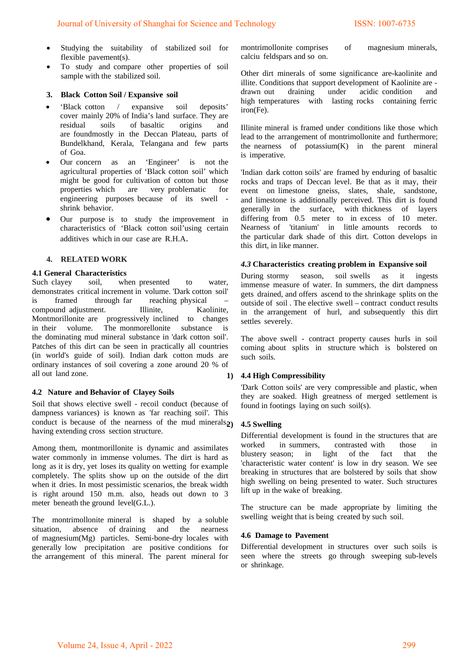- Studying the suitability of stabilized soil for flexible pavement(s).
- To study and compare other properties of soil sample with the stabilized soil.

## **3. Black Cotton Soil / Expansive soil**

- 'Black cotton / expansive soil deposits' cover mainly 20% of India's land surface. They are residual soils of basaltic origins and are foundmostly in the Deccan Plateau, parts of Bundelkhand, Kerala, Telangana and few parts of Goa.
- Our concern as an 'Engineer' is not the agricultural properties of 'Black cotton soil' which might be good for cultivation of cotton but those properties which are very problematic for engineering purposes because of its swell shrink behavior.
- Our purpose is to study the improvement in characteristics of 'Black cotton soil'using certain additives which in our case are R.H.A.

## **4. RELATED WORK**

# **4.1 General Characteristics**<br>Such clayey soil, wh

Such clayey soil, when presented to water, demonstrates critical increment in volume. 'Dark cotton soil' is framed through far reaching physical compound adjustment. Illinite, Kaolinite, Montmorillonite are progressively inclined to changes in their volume. The monmorellonite substance is the dominating mud mineral substance in 'dark cotton soil'. Patches of this dirt can be seen in practically all countries (in world's guide of soil). Indian dark cotton muds are ordinary instances of soil covering a zone around 20 % of all out land zone.

#### **4.2 Nature and Behavior of Clayey Soils**

Soil that shows elective swell - recoil conduct (because of dampness variances) is known as 'far reaching soil'. This conduct is because of the nearness of the mud minerals $2$ having extending cross section structure.

Among them, montmorillonite is dynamic and assimilates water commonly in immense volumes. The dirt is hard as long as it is dry, yet loses its quality on wetting for example completely. The splits show up on the outside of the dirt when it dries. In most pessimistic scenarios, the break width is right around  $150$  m.m. also, heads out down to 3 meter beneath the ground  $level(G.L.).$ 

The montrimollonite-mineral is shaped by a soluble situation, absence of draining and the nearness of magnesium $(Mg)$  particles. Semi-bone-dry locales with generally low precipitation are positive conditions for the arrangement of this mineral. The parent mineral for montrimollonite comprises of magnesium minerals, calciu feldspars and so on.

Other dirt minerals of some significance are-kaolinite and illite. Conditions that support development of Kaolinite are drawn out draining under acidic condition and high temperatures with lasting rocks containing ferric iron(Fe).

Illinite mineral is framed under conditions like those which lead to the arrangement of montrimollonite and furthermore: the nearness of potassium $(K)$  in the parent mineral is imperative.

'Indian dark cotton soils' are framed by enduring of basaltic rocks and traps of Deccan level. Be that as it may, their event on limestone gneiss, slates, shale, sandstone, and limestone is additionally perceived. This dirt is found generally in the surface, with thickness of layers differing from  $0.5$  meter to in excess of  $10$  meter. Nearness of 'titanium' in little amounts records to the particular dark shade of this dirt. Cotton develops in this dirt, in like manner.

## 4.3 Characteristics creating problem in Expansive soil

During stormy season, soil swells as it ingests immense measure of water. In summers, the dirt dampness gets drained, and offers ascend to the shrinkage splits on the outside of soil. The elective swell – contract conduct results in the arrangement of hurl, and subsequently this dirt settles severely.

The above swell - contract property causes hurls in soil coming about splits in structure which is bolstered on such soils.

## **1) 4.4 High Compressibility**

'Dark Cotton soils' are very compressible and plastic, when they are soaked. High greatness of merged settlement is found in footings laying on such soil(s).

#### **2) 4.5 Swelling**

Differential development is found in the structures that are worked in summers, contrasted with those in blustery season; in light of the fact that the 'characteristic water content' is low in dry season. We see breaking in structures that are bolstered by soils that show high swelling on being presented to water. Such structures lift up in the wake of breaking.

The structure can be made appropriate by limiting the swelling weight that is being created by such soil.

## **4.6 Damage to Pavement**

Differential development in structures over such soils is seen where the streets go through sweeping sub-levels or shrinkage.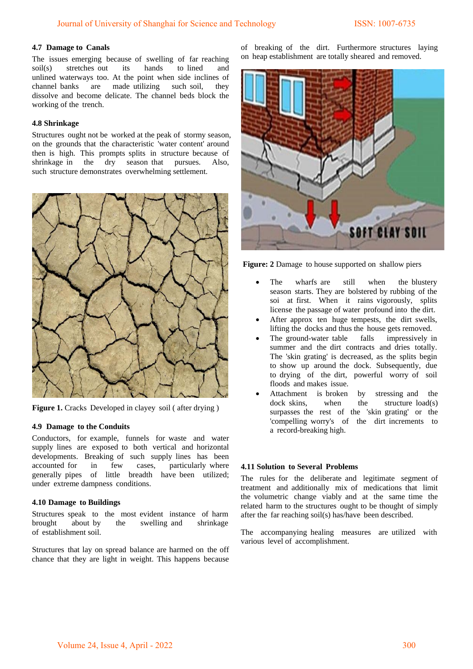## **4.7 Damage to Canals**

The issues emerging because of swelling of far reaching soil(s) stretches out its hands to lined and unlined waterways too. At the point when side inclines of channel banks are made utilizing such soil, they dissolve and become delicate. The channel beds block the working of the trench.

## **4.8 Shrinkage**

Structures ought not be worked at the peak of stormy season, on the grounds that the characteristic 'water content' around then is high. This prompts splits in structure because of shrinkage in the dry season that pursues. Also, such structure demonstrates overwhelming settlement.



**Figure 1.** Cracks Developed in clayey soil ( after drying )

#### **4.9 Damage to the Conduits**

Conductors, for example, funnels for waste and water supply lines are exposed to both vertical and horizontal developments. Breaking of such supply lines has been accounted for in few cases, particularly where generally pipes of little breadth have been utilized; under extreme dampness conditions.

#### **4.10 Damage to Buildings**

Structures speak to the most evident instance of harm brought about by the swelling and shrinkage of establishment soil.

Structures that lay on spread balance are harmed on the off chance that they are light in weight. This happens because

of breaking of the dirt. Furthermore structures laying on heap establishment are totally sheared and removed.



**Figure: 2** Damage to house supported on shallow piers

- The wharfs are still when the blustery season starts. They are bolstered by rubbing of the soi at first. When it rains vigorously, splits license the passage of water profound into the dirt.
- After approx ten huge tempests, the dirt swells, lifting the docks and thus the house gets removed.
- The ground-water table falls impressively in summer and the dirt contracts and dries totally. The 'skin grating' is decreased, as the splits begin to show up around the dock. Subsequently, due to drying of the dirt, powerful worry of soil floods and makes issue.
- Attachment is broken by stressing and the  $clock$  skins, when the structure  $load(s)$ surpasses the rest of the 'skin grating' or the 'compelling worry's of the dirt increments to a record-breaking high.

## **4.11 Solution to Several Problems**

The rules for the deliberate and legitimate segment of treatment and additionally mix of medications that limit the volumetric change viably and at the same time the related harm to the structures ought to be thought of simply after the far reaching soil(s) has/have been described.

The accompanying healing measures are utilized with various level of accomplishment.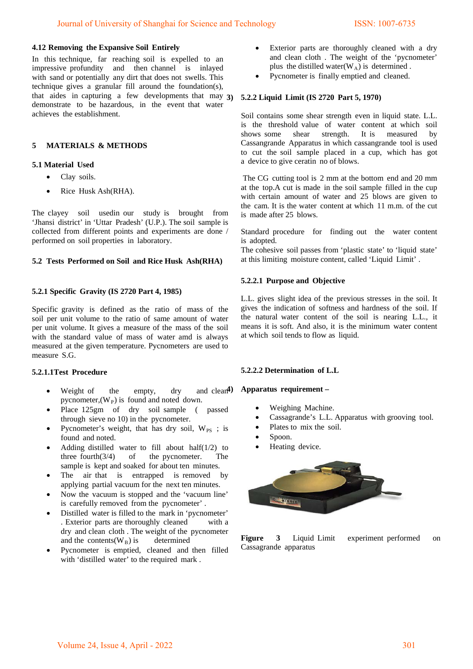## **4.12 Removing the Expansive Soil Entirely**

In this technique, far reaching soil is expelled to an impressive profundity and then channel is inlayed with sand or potentially any dirt that does not swells. This technique gives a granular fill around the foundation(s), that aides in capturing a few developments that may  $3$ ) demonstrate to be hazardous, in the event that water achieves the establishment.

# **5 MATERIALS & METHODS**

## **5.1 Material Used**

- Clay soils.
- Rice Husk Ash(RHA).

The clayey soil usedin our study is brought from 'Jhansi district' in 'Uttar Pradesh' (U.P.). The soil sample is collected from different points and experiments are done / performed on soil properties in laboratory.

## **5.2 Tests Performed on Soil and Rice Husk Ash(RHA)**

## **5.2.1 Specific Gravity (IS 2720 Part 4, 1985)**

Specific gravity is defined as the ratio of mass of the soil per unit volume to the ratio of same amount of water per unit volume. It gives a measure of the mass of the soil with the standard value of mass of water amd is always measured at the given temperature. Pycnometers are used to measure S.G.

#### **5.2.1.1Test Procedure**

- Weight of the empty, dry and clean<sup>4</sup>) pycnometer,  $(W_P)$  is found and noted down.
- Place 125gm of dry soil sample ( passed through sieve no  $10$ ) in the pycnometer.
- Pycnometer's weight, that has dry soil,  $W_{PS}$ ; is found and noted.
- Adding distilled water to fill about half $(1/2)$  to three fourth $(3/4)$  of the pycnometer. The sample is kept and soaked for about ten minutes.
- The air-that is entrapped is removed by applying partial vacuum for the next ten minutes.
- Now the vacuum is stopped and the 'vacuum line' is carefully removed from the pycnometer'.
- Distilled water is filled to the mark in 'pycnometer' . Exterior parts are thoroughly cleaned with a dry and clean cloth. The weight of the pycnometer and the contents( $W_B$ ) is determined
- Pycnometer is emptied, cleaned and then filled with 'distilled water' to the required mark.
- Exterior parts are thoroughly cleaned with a dry and clean cloth. The weight of the 'pycnometer' plus the distilled water( $W_A$ ) is determined .
- Pycnometer is finally emptied and cleaned.

## **5.2.2 Liquid Limit (IS 2720 Part 5, 1970)**

Soil contains some shear strength even in liquid state. L.L. is the threshold value of water content at which soil<br>shows some shear strength. It is measured by shows some shear strength. It is measured by Cassangrande Apparatus in which cassangrande tool is used to cut the soil sample placed in a cup, which has got a device to give ceratin no of blows.

The CG cutting tool is 2 mm at the bottom end and 20 mm at the top.A cut is made in the soil sample filled in the cup with certain amount of water and 25 blows are given to the cam. It is the water content at which  $11$  m.m. of the cut is made after 25 blows.

Standard procedure for finding out the water content is adopted.

The cohesive soil passes from 'plastic state' to 'liquid state' at this limiting moisture content, called 'Liquid Limit'.

## **5.2.2.1 Purpose and Objective**

L.L. gives slight idea of the previous stresses in the soil. It gives the indication of softness and hardness of the soil. If the natural water content of the soil is nearing L.L., it means it is soft. And also, it is the minimum water content at which soil tends to flow as liquid.

#### **5.2.2.2 Determination of L.L**

## **Apparatus requirement –**

- Weighing Machine.
- Cassagrande's L.L. Apparatus with grooving tool.
- Plates to mix the soil.
- Spoon.
- Heating device.



**Figure** 3 Liquid Limit experiment performed on Cassagrande apparatus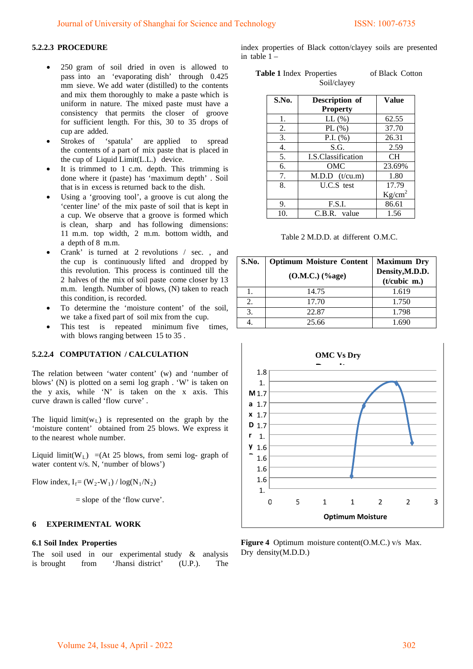# **5.2.2.3 PROCEDURE**

- $\bullet$  250 gram of soil dried in oven is allowed to pass into an 'evaporating dish' through 0.425 mm sieve. We add water (distilled) to the contents and mix them thoroughly to make a paste which is uniform in nature. The mixed paste must have a consistency that permits the closer of groove for sufficient length. For this,  $30$  to  $35$  drops of cup are added.
- Strokes of 'spatula' are applied to spread the contents of a part of mix paste that is placed in the cup of Liquid Limit(L.L.) device.
- It is trimmed to  $1$  c.m. depth. This trimming is done where it (paste) has 'maximum depth' . Soil that is in excess is returned back to the dish.
- Using a 'grooving tool', a groove is cut along the 'center line' of the mix paste of soil that is kept in a cup. We observe that a groove is formed which is clean, sharp and has following dimensions: 11 m.m. top width, 2 m.m. bottom width, and a depth of 8 m.m.
- Crank' is turned at 2 revolutions  $/$  sec., and the cup is continuously lifted and dropped by this revolution. This process is continued till the 2 halves of the mix of soil paste come closer by  $13$ m.m. length. Number of blows, (N) taken to reach this condition, is recorded.
- To determine the 'moisture content' of the soil, we take a fixed part of soil mix from the cup.
- This test is repeated minimum five times, with blows ranging between 15 to 35.

## **5.2.2.4 COMPUTATION / CALCULATION**

The relation between 'water content' (w) and 'number of blows' (N) is plotted on a semi log graph . 'W' is taken on the y axis, while 'N' is taken on the x axis. This curve drawn is called 'flow curve' .

The liquid limit( $w_L$ ) is represented on the graph by the 'moisture content' obtained from 25 blows. We express it to the nearest whole number.

Liquid limit(W<sub>L</sub>) =(At 25 blows, from semi log- graph of water content  $v/s$ . N, 'number of blows')

Flow index,  $I_f = (W_2-W_1) / log(N_1/N_2)$ 

 $=$  slope of the 'flow curve'.

#### **6 EXPERIMENTAL WORK**

## **6.1 Soil Index Properties**

The soil used in our experimental study  $\&$  analysis is brought from 'Jhansi district' (U.P.). The

index properties of Black cotton/clayey soils are presented in table  $1 -$ 

| <b>Table 1</b> Index Properties | of Black Cotton |
|---------------------------------|-----------------|
| Soil/clavey                     |                 |

| S.No. | Description of     | <b>Value</b>       |
|-------|--------------------|--------------------|
|       | <b>Property</b>    |                    |
| 1.    | $LL$ $%$           | 62.55              |
| 2.    | PL $(\% )$         | 37.70              |
| 3.    | P.I. $(\% )$       | 26.31              |
| 4.    | S.G.               | 2.59               |
| 5.    | I.S.Classification | <b>CH</b>          |
| 6.    | OMC                | 23.69%             |
| 7.    | M.D.D (t/cu.m)     | 1.80               |
| 8.    | $U.C.S.$ test      | 17.79              |
|       |                    | Kg/cm <sup>2</sup> |
| 9.    | F.S.I.             | 86.61              |
| 10.   | C.B.R. value       | 1.56               |

Table 2 M.D.D. at different O.M.C.

| S.No. | <b>Optimum Moisture Content</b> | <b>Maximum Dry</b>                |
|-------|---------------------------------|-----------------------------------|
|       | $(O.M.C.)$ (%age)               | Density, M.D.D.<br>$(t/cubic$ m.) |
|       | 14.75                           | 1.619                             |
| 2.    | 17.70                           | 1.750                             |
| 3.    | 22.87                           | 1.798                             |
|       | 25.66                           |                                   |



Figure 4 Optimum moisture content(O.M.C.) v/s Max. Dry density(M.D.D.)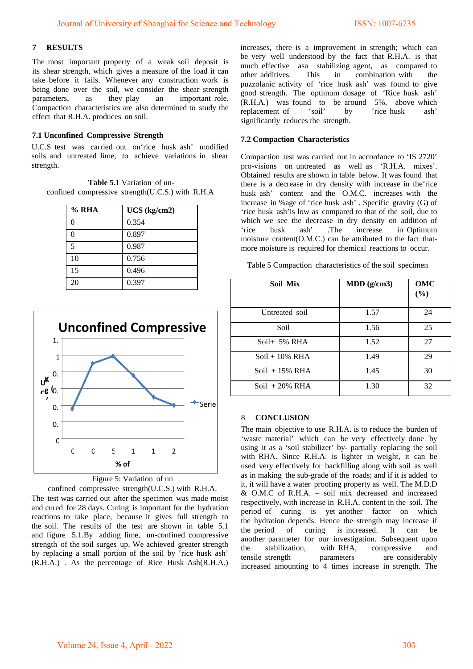# **7 RESULTS**

The most important property of a weak soil deposit is its shear strength, which gives a measure of the load it can take before it fails. Whenever any construction work is being done over the soil, we consider the shear strength parameters, as they play an important role. Compaction characteristics are also determined to study the effect that R.H.A. produces on soil.

## **7.1 Unconfined Compressive Strength**

U.C.S test was carried out on'rice husk ash' modified soils and untreated lime, to achieve variations in shear strength.

**Table 5.1** Variation of unconfined compressive strength(U.C.S.) with  $R.H.A$ 

| $%$ RHA                  | UCS (kg/cm2) |
|--------------------------|--------------|
| 0                        | 0.354        |
| በ                        | 0.897        |
| $\overline{\phantom{0}}$ | 0.987        |
| 10                       | 0.756        |
| 15                       | 0.496        |
| 20                       | 0.397        |



## Figure 5: Variation of un

confined compressive strength(U.C.S.) with R.H.A. The test was carried out after the specimen was made moist and cured for 28 days. Curing is important for the hydration reactions to take place, because it gives full strength to the soil. The results of the test are shown in table  $5.1$ and figure  $5.1.By$  adding lime, un-confined compressive strength of the soil surges up. We achieved greater strength by replacing a small portion of the soil by 'rice husk ash'  $(R.H.A.)$  . As the percentage of Rice Husk Ash $(R.H.A.)$  increases, there is a improvement in strength; which can be very well understood by the fact that R.H.A. is that much effective asa stabilizing agent, as compared to other additives. This in combination with the puzzolanic activity of 'rice husk ash' was found to give good strength. The optimum dosage of 'Rice husk ash'  $(R.H.A.)$  was found to be around 5%, above which replacement of 'soil' by 'rice husk ash' significantly reduces the strength.

## **7.2 Compaction Characteristics**

Compaction test was carried out in accordance to 'IS 2720' pro-visions on untreated as well as 'R.H.A. mixes'. Obtained results are shown in table below. It was found that there is a decrease in dry density with increase in the'rice husk ash' content and the O.M.C. increases with the increase in %age of 'rice husk ash' . Specific gravity (G) of 'rice husk ash'is low as compared to that of the soil, due to which we see the decrease in dry density on addition of 'rice husk ash' The increase in Optimum 'rice husk ash' .The increase in Optimum moisture content( $O.M.C.$ ) can be attributed to the fact thatmore moisture is required for chemical reactions to occur.

Table 5 Compaction characteristics of the soil specimen

| Soil Mix          | $MDD$ (g/cm3) | OMC<br>(%) |
|-------------------|---------------|------------|
| Untreated soil    | 1.57          | 24         |
| Soil              | 1.56          | 25         |
| Soil $+$ 5% RHA   | 1.52          | 27         |
| $Soil + 10\% RHA$ | 1.49          | 29         |
| Soil $+15\%$ RHA  | 1.45          | 30         |
| Soil $+20\%$ RHA  | 1.30          | 32         |

## 8 **CONCLUSION**

The main objective to use R.H.A. is to reduce the burden of 'waste material' which can be very effectively done by using it as a 'soil stabilizer' by- partially replacing the soil with RHA. Since R.H.A. is lighter in weight, it can be used very effectively for backfilling along with soil as well as in making the sub-grade of the roads; and if it is added to it, it will have a water proofing property as well. The M.D.D  $&$  O.M.C of R.H.A. – soil mix decreased and increased respectively, with increase in R.H.A. content in the soil. The period of curing is yet another factor on which the hydration depends. Hence the strength may increase if the period of curing is increased. It can be another parameter for our investigation. Subsequent upon the stabilization, with RHA, compressive and tensile strength parameters are considerably increased amounting to 4 times increase in strength. The